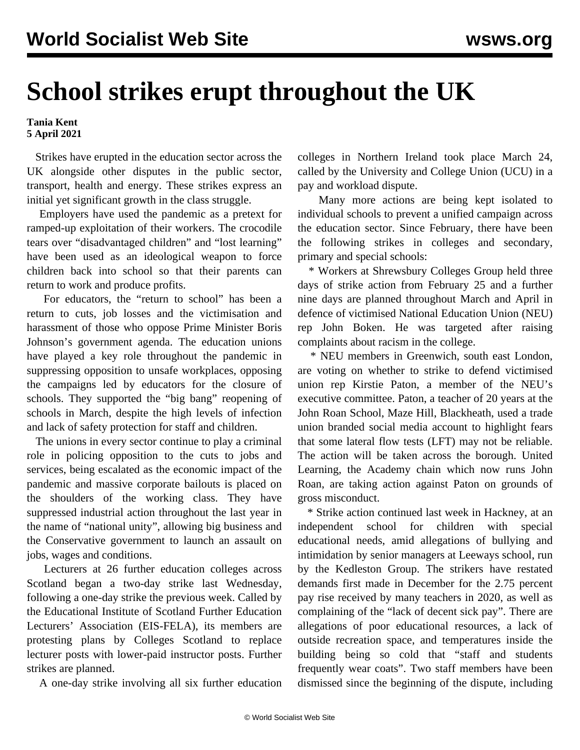## **School strikes erupt throughout the UK**

**Tania Kent 5 April 2021**

 Strikes have erupted in the education sector across the UK alongside other disputes in the public sector, transport, health and energy. These strikes express an initial yet significant growth in the class struggle.

 Employers have used the pandemic as a pretext for ramped-up exploitation of their workers. The crocodile tears over "disadvantaged children" and "lost learning" have been used as an ideological weapon to force children back into school so that their parents can return to work and produce profits.

 For educators, the "return to school" has been a return to cuts, job losses and the victimisation and harassment of those who oppose Prime Minister Boris Johnson's government agenda. The education unions have played a key role throughout the pandemic in suppressing opposition to unsafe workplaces, opposing the campaigns led by educators for the closure of schools. They supported the "big bang" reopening of schools in March, despite the high levels of infection and lack of safety protection for staff and children.

 The unions in every sector continue to play a criminal role in policing opposition to the cuts to jobs and services, being escalated as the economic impact of the pandemic and massive corporate bailouts is placed on the shoulders of the working class. They have suppressed industrial action throughout the last year in the name of "national unity", allowing big business and the Conservative government to launch an assault on jobs, wages and conditions.

 Lecturers at 26 further education colleges across Scotland began a two-day strike last Wednesday, following a one-day strike the previous week. Called by the Educational Institute of Scotland Further Education Lecturers' Association (EIS-FELA), its members are protesting plans by Colleges Scotland to replace lecturer posts with lower-paid instructor posts. Further strikes are planned.

A one-day strike involving all six further education

colleges in Northern Ireland took place March 24, called by the University and College Union (UCU) in a pay and workload dispute.

 Many more actions are being kept isolated to individual schools to prevent a unified campaign across the education sector. Since February, there have been the following strikes in colleges and secondary, primary and special schools:

 \* Workers at Shrewsbury Colleges Group held three days of strike action from February 25 and a further nine days are planned throughout March and April in defence of victimised National Education Union (NEU) rep John Boken. He was targeted after raising complaints about racism in the college.

 \* NEU members in Greenwich, south east London, are voting on whether to strike to defend victimised union rep Kirstie Paton, a member of the NEU's executive committee. Paton, a teacher of 20 years at the John Roan School, Maze Hill, Blackheath, used a trade union branded social media account to highlight fears that some lateral flow tests (LFT) may not be reliable. The action will be taken across the borough. United Learning, the Academy chain which now runs John Roan, are taking action against Paton on grounds of gross misconduct.

 \* Strike action continued last week in Hackney, at an independent school for children with special educational needs, amid allegations of bullying and intimidation by senior managers at Leeways school, run by the Kedleston Group. The strikers have restated demands first made in December for the 2.75 percent pay rise received by many teachers in 2020, as well as complaining of the "lack of decent sick pay". There are allegations of poor educational resources, a lack of outside recreation space, and temperatures inside the building being so cold that "staff and students frequently wear coats". Two staff members have been dismissed since the beginning of the dispute, including